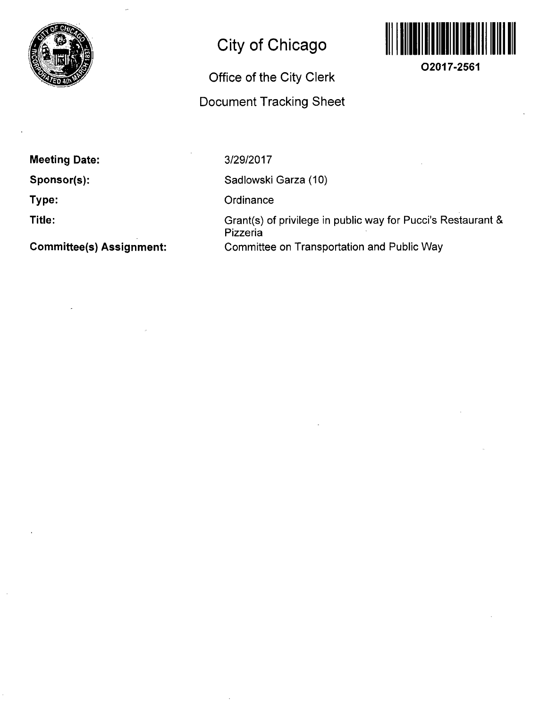

## **City of Chicago**

# **Office of the City Clerk**

### **Document Tracking Sheet**



**O2017-2561** 

**Meeting Date:** 

**Sponsor(s):** 

**Type:** 

**Title:** 

**Committee(s) Assignment:** 

3/29/2017

Sadlowski Garza (10)

**Ordinance** 

Grant(s) of privilege in public way for Pucci's Restaurant & Pizzeria Committee on Transportation and Public Way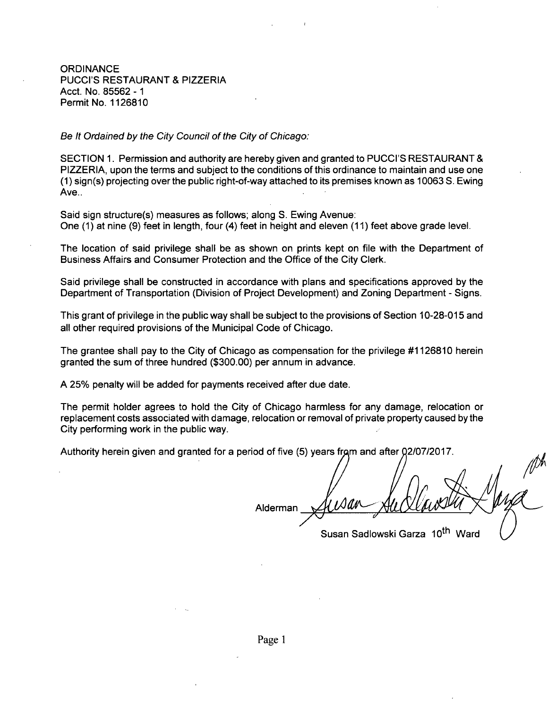**ORDINANCE** PUCCI'S RESTAURANT & PIZZERIA Acct. No. 85562 - 1 Permit No. 1126810

Be It Ordained by the City Council of the City of Chicago:

SECTION 1. Permission and authority are hereby given and granted to PUCCI'S RESTAURANT & PIZZERIA, upon the terms and subject to the conditions of this ordinance to maintain and use one (1) sign(s) projecting overthe public right-of-way attached to its premises known as 10063 S. Ewing Ave..

Said sign structure(s) measures as follows; along S. Ewing Avenue: One (1) at nine (9) feet in length, four (4) feet in height and eleven (11) feet above grade level.

The location of said privilege shall be as shown on prints kept on file with the Department of Business Affairs and Consumer Protection and the Office of the City Clerk.

Said privilege shall be constructed in accordance with plans and specifications approved by the Department of Transportation (Division of Project Development) and Zoning Department - Signs.

This grant of privilege in the public way shall be subject to the provisions of Section 10-28-015 and all other required provisions of the Municipal Code of Chicago.

The grantee shall pay to the City of Chicago as compensation for the privilege #1126810 herein granted the sum of three hundred (\$300.00) per annum in advance.

A 25% penalty will be added for payments received after due date.

The permit holder agrees to hold the City of Chicago harmless for any damage, relocation or replacement costs associated with damage, relocation or removal of private property caused bythe City performing work in the public way.

Authority herein given and granted for a period of five (5) years from and after 02/07/2017.

Alderman

Susan Sadlowski Garza 10<sup>th</sup> Ward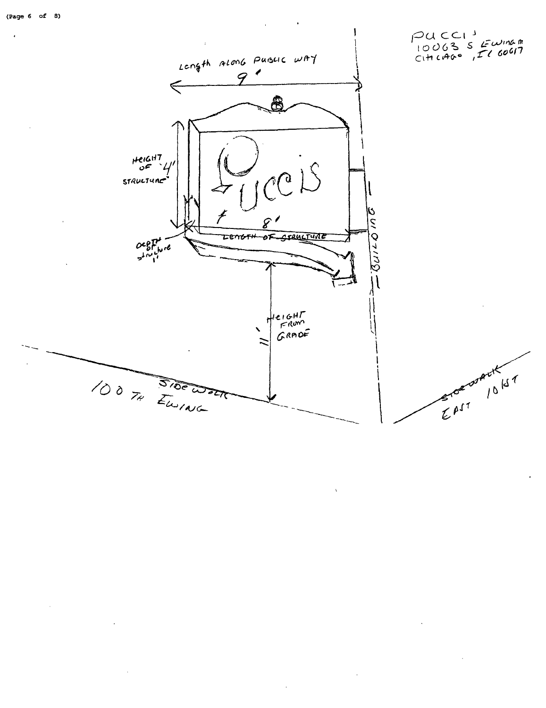